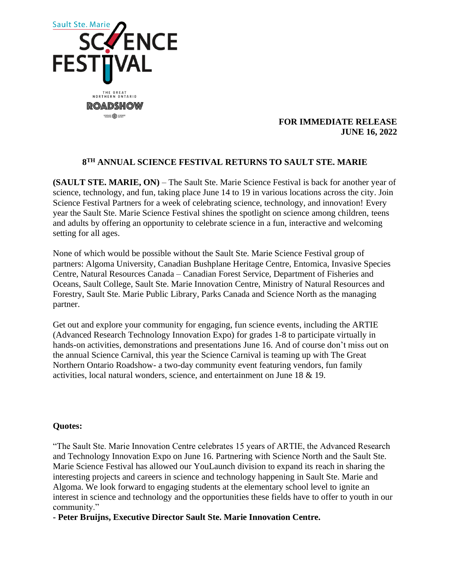

## **FOR IMMEDIATE RELEASE JUNE 16, 2022**

# **8 TH ANNUAL SCIENCE FESTIVAL RETURNS TO SAULT STE. MARIE**

**(SAULT STE. MARIE, ON)** – The Sault Ste. Marie Science Festival is back for another year of science, technology, and fun, taking place June 14 to 19 in various locations across the city. Join Science Festival Partners for a week of celebrating science, technology, and innovation! Every year the Sault Ste. Marie Science Festival shines the spotlight on science among children, teens and adults by offering an opportunity to celebrate science in a fun, interactive and welcoming setting for all ages.

None of which would be possible without the Sault Ste. Marie Science Festival group of partners: Algoma University, Canadian Bushplane Heritage Centre, Entomica, Invasive Species Centre, Natural Resources Canada – Canadian Forest Service, Department of Fisheries and Oceans, Sault College, Sault Ste. Marie Innovation Centre, Ministry of Natural Resources and Forestry, Sault Ste. Marie Public Library, Parks Canada and Science North as the managing partner.

Get out and explore your community for engaging, fun science events, including the ARTIE (Advanced Research Technology Innovation Expo) for grades 1-8 to participate virtually in hands-on activities, demonstrations and presentations June 16. And of course don't miss out on the annual Science Carnival, this year the Science Carnival is teaming up with The Great Northern Ontario Roadshow- a two-day community event featuring vendors, fun family activities, local natural wonders, science, and entertainment on June 18 & 19.

## **Quotes:**

"The Sault Ste. Marie Innovation Centre celebrates 15 years of ARTIE, the Advanced Research and Technology Innovation Expo on June 16. Partnering with Science North and the Sault Ste. Marie Science Festival has allowed our YouLaunch division to expand its reach in sharing the interesting projects and careers in science and technology happening in Sault Ste. Marie and Algoma. We look forward to engaging students at the elementary school level to ignite an interest in science and technology and the opportunities these fields have to offer to youth in our community."

**- Peter Bruijns, Executive Director Sault Ste. Marie Innovation Centre.**